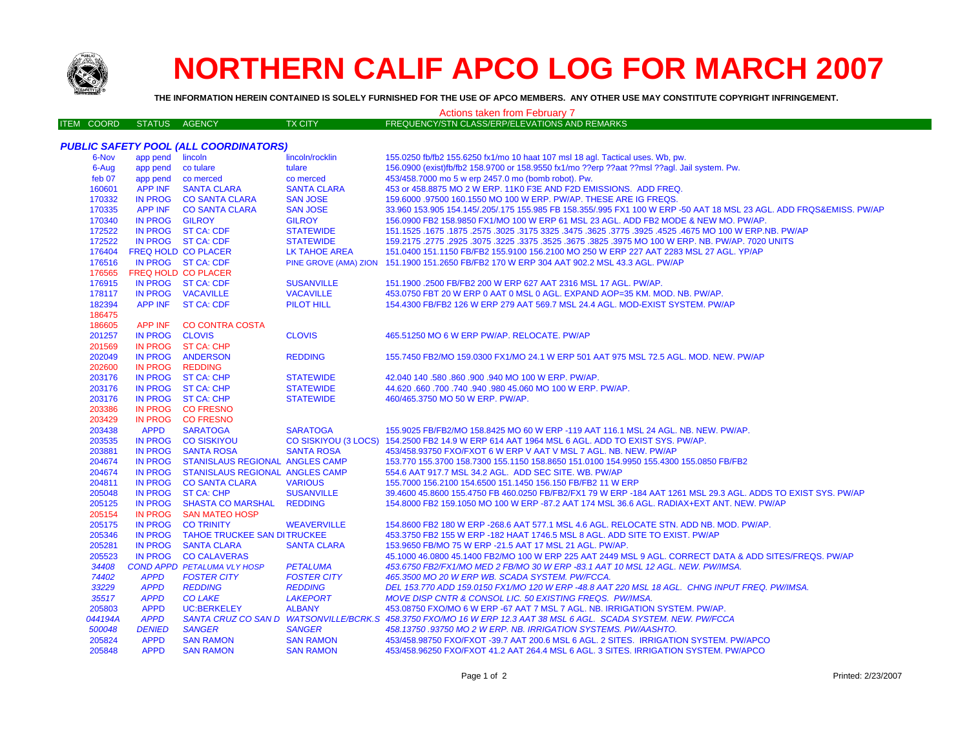

# **NORTHERN CALIF APCO LOG FOR MARCH 2007**

**THE INFORMATION HEREIN CONTAINED IS SOLELY FURNISHED FOR THE USE OF APCO MEMBERS. ANY OTHER USE MAY CONSTITUTE COPYRIGHT INFRINGEMENT.**

#### ITEM COORD STATUS AGENCY TX CITY FREQUENCY/STN CLASS/ERP/ELEVATIONS AND REMARKS *PUBLIC SAFETY POOL (ALL COORDINATORS)* 6-Nov app pend lincoln lincoln lincoln/rocklin 155.0250 fb/fb2 155.6250 fx1/mo 10 haat 107 msl 18 agl. Tactical uses. Wb, pw. 6-Aug app pend co tulare tulare 156.0900 (exist)fb/fb2 158.9700 or 158.9550 fx1/mo ??erp ??aat ??msl ??agl. Jail system. Pw. feb 07 app pend co merced co merced 453/458.7000 mo 5 w erp 2457.0 mo (bomb robot). Pw. APP INF SANTA CLARA SANTA CLARA 453 or 458.8875 MO 2 W ERP. 11K0 F3E AND F2D EMISSIONS. ADD FREQ. IN PROG CO SANTA CLARA SAN JOSE 159.6000 .97500 160.1550 MO 100 W ERP. PW/AP. THESE ARE IG FREQS. APP INF CO SANTA CLARA SAN JOSE 33.960 153.905 154.145/.205/.175 155.985 FB 158.355/.995 FX1 100 W ERP -50 AAT 18 MSL 23 AGL. ADD FRQS&EMISS. PW/AP IN PROG GILROY GILROY 156.0900 FB2 158.9850 FX1/MO 100 W ERP 61 MSL 23 AGL. ADD FB2 MODE & NEW MO. PW/AP. IN PROG ST CA: CDF STATEWIDE 151.1525 .1675 .1875 .2575 .3025 .3175 3325 .3475 .3625 .3775 .3925 .4525 .4675 MO 100 W ERP.NB. PW/AP IN PROG ST CA: CDF STATEWIDE 159.2175 .2775 .2925 .3075 .3225 .3375 .3525 .3675 .3825 .3975 MO 100 W ERP. NB. PW/AP. 7020 UNITS FREQ HOLD CO PLACER LK TAHOE AREA 151.0400 151.1150 FB/FB2 155.9100 156.2100 MO 250 W ERP 227 AAT 2283 MSL 27 AGL. YP/AP IN PROG ST CA: CDF PINE GROVE (AMA) ZION 151.1900 151.2650 FB/FB2 170 W ERP 304 AAT 902.2 MSL 43.3 AGL. PW/AP FREQ HOLD CO PLACER176915 IN PROG ST CA: CDF SUSANVILLE 151.1900 .2500 FB/FB2 200 W ERP 627 AAT 2316 MSL 17 AGL. PW/AP. IN PROG VACAVILLE VACAVILLE 453.0750 FBT 20 W ERP 0 AAT 0 MSL 0 AGL. EXPAND AOP=35 KM. MOD. NB. PW/AP. APP INF ST CA: CDF PILOT HILL 154.4300 FB/FB2 126 W ERP 279 AAT 569.7 MSL 24.4 AGL. MOD-EXIST SYSTEM. PW/AP APP INF CO CONTRA COSTA IN PROG CLOVIS CLOVIS 465.51250 MO 6 W ERP PW/AP. RELOCATE. PW/AP IN PROG ST CA: CHP IN PROG ANDERSON REDDING 155.7450 FB2/MO 159.0300 FX1/MO 24.1 W ERP 501 AAT 975 MSL 72.5 AGL. MOD. NEW. PW/AP IN PROG REDDING IN PROG ST CA: CHP STATEWIDE 42.040 140 .580 .860 .900 .940 MO 100 W ERP. PW/AP. IN PROG ST CA: CHP STATEWIDE 44.620 .660 .700 .740 .940 .980 45.060 MO 100 W ERP. PW/AP. IN PROG ST CA: CHP STATEWIDE 460/465.3750 MO 50 W ERP. PW/AP. IN PROG CO FRESNO IN PROG CO FRESNO**SARATOGA**  APPD SARATOGA SARATOGA 155.9025 FB/FB2/MO 158.8425 MO 60 W ERP -119 AAT 116.1 MSL 24 AGL. NB. NEW. PW/AP. IN PROG CO SISKIYOU CO SISKIYOU (3 LOCS) 154.2500 FB2 14.9 W ERP 614 AAT 1964 MSL 6 AGL. ADD TO EXIST SYS. PW/AP. IN PROG SANTA ROSA SANTA ROSA 453/458.93750 FXO/FXOT 6 W ERP V AAT V MSL 7 AGL. NB. NEW. PW/AP IN PROG STANISLAUS REGIONAL ANGLES CAMP 153.770 155.3700 158.7300 155.1150 158.8650 151.0100 154.9950 155.4300 155.0850 FB/FB2 IN PROG STANISLAUS REGIONAL ANGLES CAMP 554.6 AAT 917.7 MSL 34.2 AGL. ADD SEC SITE. WB. PW/AP IN PROG CO SANTA CLARA VARIOUS 155.7000 156.2100 154.6500 151.1450 156.150 FB/FB2 11 W ERP IN PROG ST CA: CHP SUSANVILLE 39.4600 45.8600 155.4750 FB 460.0250 FB/FB2/FX1 79 W ERP -184 AAT 1261 MSL 29.3 AGL. ADDS TO EXIST SYS. PW/AP IN PROG SHASTA CO MARSHAL REDDING 154.8000 FB2 159.1050 MO 100 W ERP -87.2 AAT 174 MSL 36.6 AGL. RADIAX+EXT ANT. NEW. PW/AP IN PROG SAN MATEO HOSP IN PROG CO TRINITY WEAVERVILLE 154.8600 FB2 180 W ERP -268.6 AAT 577.1 MSL 4.6 AGL. RELOCATE STN. ADD NB. MOD. PW/AP. IN PROG TAHOE TRUCKEE SAN DITRUCKEE 453.3750 FB2 155 W ERP -182 HAAT 1746.5 MSL 8 AGL. ADD SITE TO EXIST. PW/AP IN PROG SANTA CLARA SANTA CLARA 153.9650 FB/MO 75 W ERP -21.5 AAT 17 MSL 21 AGL. PW/AP. IN PROG CO CALAVERAS 45.1000 46.0800 45.1400 FB2/MO 100 W ERP 225 AAT 2449 MSL 9 AGL. CORRECT DATA & ADD SITES/FREQS. PW/AP *COND APPD PETALUMA VLY HOSP PETALUMA 453.6750 FB2/FX1/MO MED 2 FB/MO 30 W ERP -83.1 AAT 10 MSL 12 AGL. NEW. PW/IMSA. APPD FOSTER CITY FOSTER CITY 465.3500 MO 20 W ERP WB. SCADA SYSTEM. PW/FCCA. APPD REDDING REDDING DEL 153.770 ADD 159.0150 FX1/MO 120 W ERP -48.8 AAT 220 MSL 18 AGL. CHNG INPUT FREQ. PW/IMSA. APPD CO LAKE LAKEPORT MOVE DISP CNTR & CONSOL LIC. 50 EXISTING FREQS. PW/IMSA.* APPD UC:BERKELEY ALBANY 453.08750 FXO/MO 6 W ERP -67 AAT 7 MSL 7 AGL. NB. IRRIGATION SYSTEM. PW/AP.*044194A APPD SANTA CRUZ CO SAN D WATSONVILLE/BCRK.S 458.3750 FXO/MO 16 W ERP 12.3 AAT 38 MSL 6 AGL. SCADA SYSTEM. NEW. PW/FCCA DENIED SANGER SANGER 458.13750 .93750 MO 2 W ERP. NB. IRRIGATION SYSTEMS. PW/AASHTO.* APPD SAN RAMON SAN RAMON 453/458.98750 FXO/FXOT -39.7 AAT 200.6 MSL 6 AGL. 2 SITES. IRRIGATION SYSTEM. PW/APCO APPD SAN RAMON SAN RAMON 453/458.96250 FXO/FXOT 41.2 AAT 264.4 MSL 6 AGL. 3 SITES. IRRIGATION SYSTEM. PW/APCO Actions taken from February 7